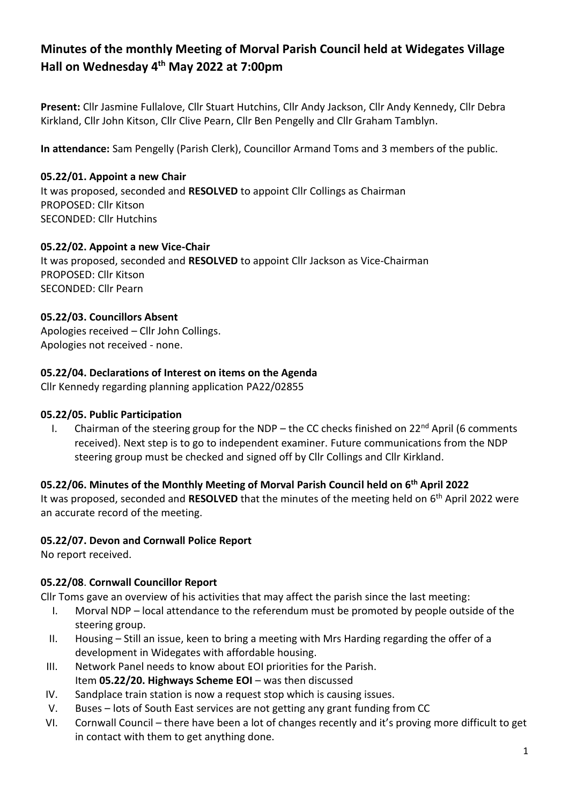# **Minutes of the monthly Meeting of Morval Parish Council held at Widegates Village Hall on Wednesday 4 th May 2022 at 7:00pm**

**Present:** Cllr Jasmine Fullalove, Cllr Stuart Hutchins, Cllr Andy Jackson, Cllr Andy Kennedy, Cllr Debra Kirkland, Cllr John Kitson, Cllr Clive Pearn, Cllr Ben Pengelly and Cllr Graham Tamblyn.

**In attendance:** Sam Pengelly (Parish Clerk), Councillor Armand Toms and 3 members of the public.

## **05.22/01. Appoint a new Chair**

It was proposed, seconded and **RESOLVED** to appoint Cllr Collings as Chairman PROPOSED: Cllr Kitson SECONDED: Cllr Hutchins

#### **05.22/02. Appoint a new Vice-Chair**

It was proposed, seconded and **RESOLVED** to appoint Cllr Jackson as Vice-Chairman PROPOSED: Cllr Kitson SECONDED: Cllr Pearn

## **05.22/03. Councillors Absent**

Apologies received – Cllr John Collings. Apologies not received - none.

## **05.22/04. Declarations of Interest on items on the Agenda**

Cllr Kennedy regarding planning application PA22/02855

#### **05.22/05. Public Participation**

I. Chairman of the steering group for the NDP – the CC checks finished on  $22^{nd}$  April (6 comments received). Next step is to go to independent examiner. Future communications from the NDP steering group must be checked and signed off by Cllr Collings and Cllr Kirkland.

# **05.22/06. Minutes of the Monthly Meeting of Morval Parish Council held on 6 th April 2022**

It was proposed, seconded and RESOLVED that the minutes of the meeting held on 6<sup>th</sup> April 2022 were an accurate record of the meeting.

# **05.22/07. Devon and Cornwall Police Report**

No report received.

# **05.22/08**. **Cornwall Councillor Report**

Cllr Toms gave an overview of his activities that may affect the parish since the last meeting:

- I. Morval NDP local attendance to the referendum must be promoted by people outside of the steering group.
- II. Housing Still an issue, keen to bring a meeting with Mrs Harding regarding the offer of a development in Widegates with affordable housing.
- III. Network Panel needs to know about EOI priorities for the Parish. Item **05.22/20. Highways Scheme EOI** – was then discussed
- IV. Sandplace train station is now a request stop which is causing issues.
- V. Buses lots of South East services are not getting any grant funding from CC
- VI. Cornwall Council there have been a lot of changes recently and it's proving more difficult to get in contact with them to get anything done.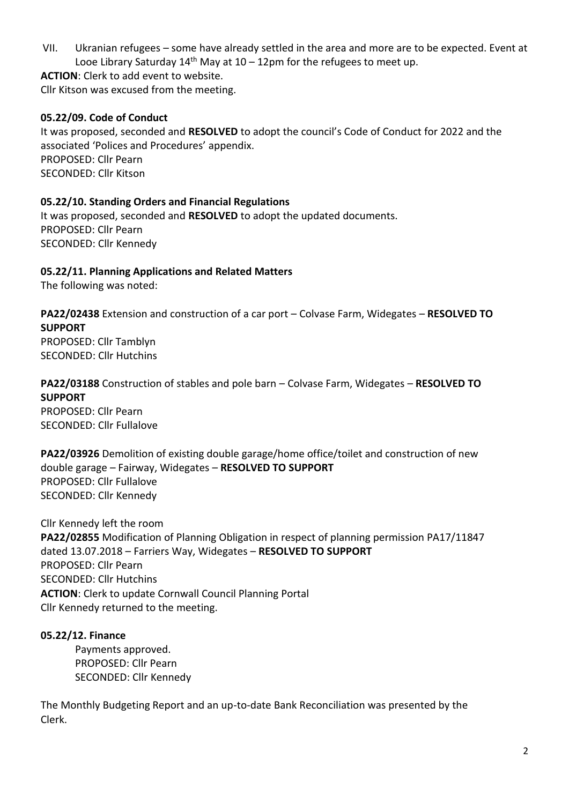VII. Ukranian refugees – some have already settled in the area and more are to be expected. Event at Looe Library Saturday  $14<sup>th</sup>$  May at  $10 - 12$ pm for the refugees to meet up.

**ACTION**: Clerk to add event to website.

Cllr Kitson was excused from the meeting.

## **05.22/09. Code of Conduct**

It was proposed, seconded and **RESOLVED** to adopt the council's Code of Conduct for 2022 and the associated 'Polices and Procedures' appendix. PROPOSED: Cllr Pearn SECONDED: Cllr Kitson

#### **05.22/10. Standing Orders and Financial Regulations**

It was proposed, seconded and **RESOLVED** to adopt the updated documents. PROPOSED: Cllr Pearn SECONDED: Cllr Kennedy

#### **05.22/11. Planning Applications and Related Matters**

The following was noted:

**PA22/02438** Extension and construction of a car port – Colvase Farm, Widegates – **RESOLVED TO SUPPORT** PROPOSED: Cllr Tamblyn

SECONDED: Cllr Hutchins

## **PA22/03188** Construction of stables and pole barn – Colvase Farm, Widegates – **RESOLVED TO SUPPORT**

PROPOSED: Cllr Pearn SECONDED: Cllr Fullalove

**PA22/03926** Demolition of existing double garage/home office/toilet and construction of new double garage – Fairway, Widegates – **RESOLVED TO SUPPORT** PROPOSED: Cllr Fullalove SECONDED: Cllr Kennedy

Cllr Kennedy left the room **PA22/02855** Modification of Planning Obligation in respect of planning permission PA17/11847 dated 13.07.2018 – Farriers Way, Widegates – **RESOLVED TO SUPPORT** PROPOSED: Cllr Pearn SECONDED: Cllr Hutchins **ACTION**: Clerk to update Cornwall Council Planning Portal Cllr Kennedy returned to the meeting.

#### **05.22/12. Finance**

Payments approved. PROPOSED: Cllr Pearn SECONDED: Cllr Kennedy

The Monthly Budgeting Report and an up-to-date Bank Reconciliation was presented by the Clerk.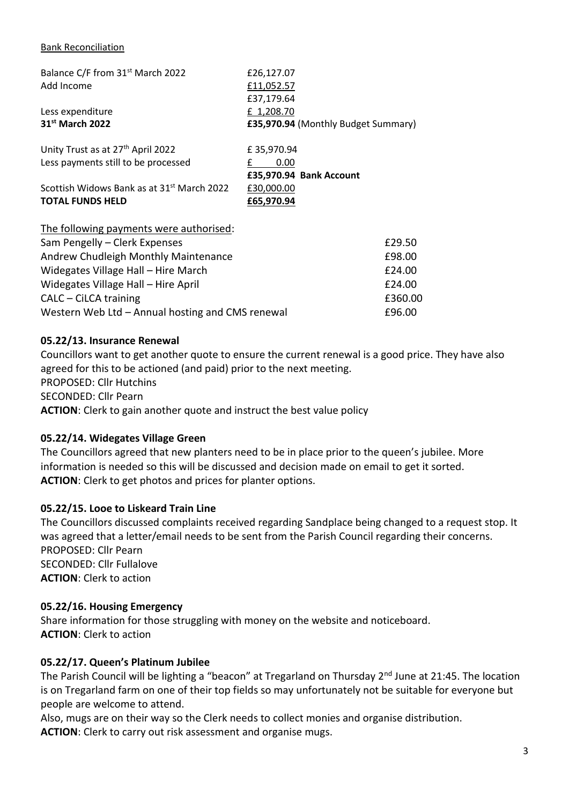#### Bank Reconciliation

| Balance C/F from 31 <sup>st</sup> March 2022           | £26,127.07                          |
|--------------------------------------------------------|-------------------------------------|
| Add Income                                             | £11,052.57                          |
|                                                        | £37,179.64                          |
| Less expenditure                                       | £ 1,208.70                          |
| 31 <sup>st</sup> March 2022                            | £35,970.94 (Monthly Budget Summary) |
| Unity Trust as at 27 <sup>th</sup> April 2022          | £35,970.94                          |
| Less payments still to be processed                    | 0.00<br>£                           |
|                                                        | £35,970.94 Bank Account             |
| Scottish Widows Bank as at 31 <sup>st</sup> March 2022 | £30,000.00                          |
| <b>TOTAL FUNDS HELD</b>                                | £65,970.94                          |
|                                                        |                                     |
| The following payments were authorised:                |                                     |
| Sam Pengelly - Clerk Expenses                          | £29.50                              |
| Andrew Chudleigh Monthly Maintenance                   | £98.00                              |
| Widegates Village Hall - Hire March                    | £24.00                              |
| Widegates Village Hall - Hire April                    | £24.00                              |

CALC – CiLCA training **E360.00** Western Web Ltd – Annual hosting and CMS renewal **E96.00** 

#### **05.22/13. Insurance Renewal**

Councillors want to get another quote to ensure the current renewal is a good price. They have also agreed for this to be actioned (and paid) prior to the next meeting. PROPOSED: Cllr Hutchins SECONDED: Cllr Pearn **ACTION**: Clerk to gain another quote and instruct the best value policy

#### **05.22/14. Widegates Village Green**

The Councillors agreed that new planters need to be in place prior to the queen's jubilee. More information is needed so this will be discussed and decision made on email to get it sorted. **ACTION**: Clerk to get photos and prices for planter options.

#### **05.22/15. Looe to Liskeard Train Line**

The Councillors discussed complaints received regarding Sandplace being changed to a request stop. It was agreed that a letter/email needs to be sent from the Parish Council regarding their concerns. PROPOSED: Cllr Pearn SECONDED: Cllr Fullalove **ACTION**: Clerk to action

#### **05.22/16. Housing Emergency**

Share information for those struggling with money on the website and noticeboard. **ACTION**: Clerk to action

#### **05.22/17. Queen's Platinum Jubilee**

The Parish Council will be lighting a "beacon" at Tregarland on Thursday 2<sup>nd</sup> June at 21:45. The location is on Tregarland farm on one of their top fields so may unfortunately not be suitable for everyone but people are welcome to attend.

Also, mugs are on their way so the Clerk needs to collect monies and organise distribution. **ACTION**: Clerk to carry out risk assessment and organise mugs.